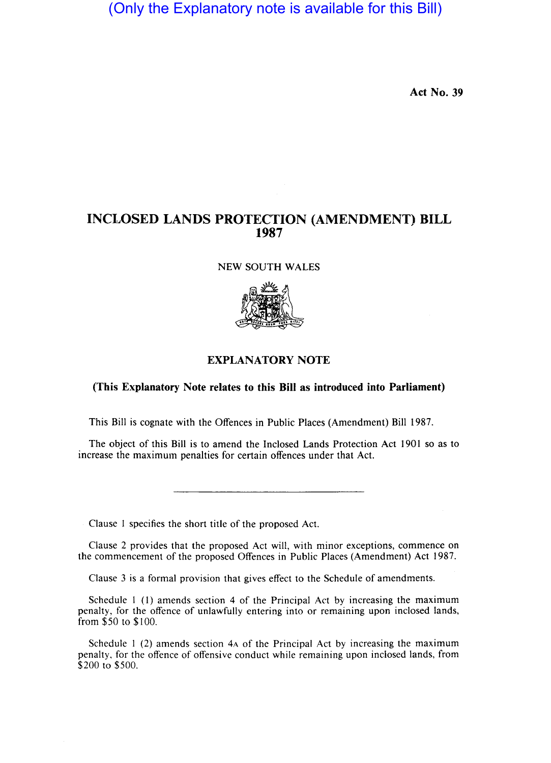(Only the Explanatory note is available for this Bill)

Act No. 39

## INCLOSED LANDS PROTECTION (AMENDMENT) BILL 1987

NEW SOUTH WALES



## EXPLANATORY NOTE

## (This Explanatory Note relates to this Bill as introduced into Parliament)

This Bill is cognate with the Offences in Public Places (Amendment) Bill 1987.

The object of this Bill is to amend the Inclosed Lands Protection Act 1901 so as to increase the maximum penalties for certain offences under that Act.

Clause I specifies the short title of the proposed Act.

Clause 2 provides that the proposed Act will, with minor exceptions, commence on the commencement of the proposed Offences in Public Places (Amendment) Act 1987.

Clause 3 is a formal provision that gives effect to the Schedule of amendments.

Schedule I (1) amends section 4 of the Principal Act by increasing the maximum penalty, for the offence of unlawfully entering into or remaining upon inclosed lands, from \$50 to \$100.

Schedule I (2) amends section 4A of the Principal Act by increasing the maximum penalty, for the offence of offensive conduct while remaining upon inclosed lands, from \$200 to \$500.